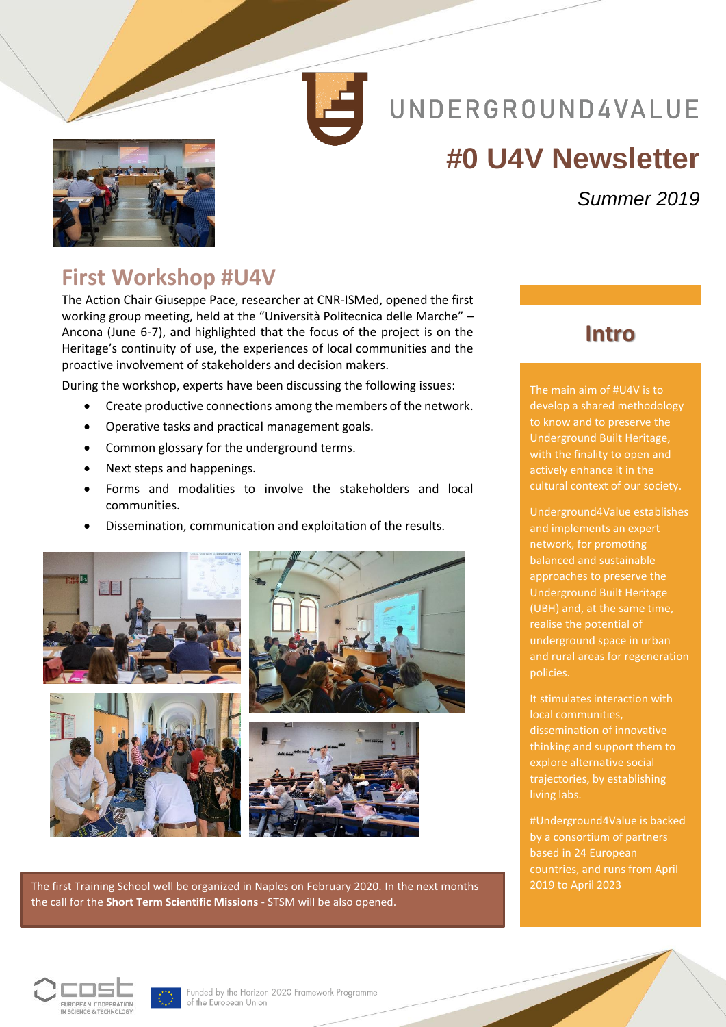

# UNDERGROUND4VALUE

# **#0 U4V Newsletter**



### *Summer 2019*

### **First Workshop #U4V**

The Action Chair Giuseppe Pace, researcher at CNR-ISMed, opened the first working group meeting, held at the "Università Politecnica delle Marche" – Ancona (June 6-7), and highlighted that the focus of the project is on the Heritage's continuity of use, the experiences of local communities and the proactive involvement of stakeholders and decision makers.

During the workshop, experts have been discussing the following issues:

- Create productive connections among the members of the network.
- Operative tasks and practical management goals.
- Common glossary for the underground terms.
- Next steps and happenings.
- Forms and modalities to involve the stakeholders and local communities.
- Dissemination, communication and exploitation of the results.









The first Training School well be organized in Naples on February 2020. In the next months the call for the **Short Term Scientific Missions** - STSM will be also opened.

#### **Intro**

The main aim of #U4V is to develop a shared methodology to know and to preserve the Underground Built Heritage, with the finality to open and actively enhance it in the cultural context of our society.

Underground4Value establishes and implements an expert network, for promoting balanced and sustainable approaches to preserve the Underground Built Heritage (UBH) and, at the same time, realise the potential of underground space in urban and rural areas for regeneration policies.

It stimulates interaction with local communities, dissemination of innovative thinking and support them to explore alternative social trajectories, by establishing living labs.

#Underground4Value is backed by a consortium of partners based in 24 European countries, and runs from April 2019 to April 2023